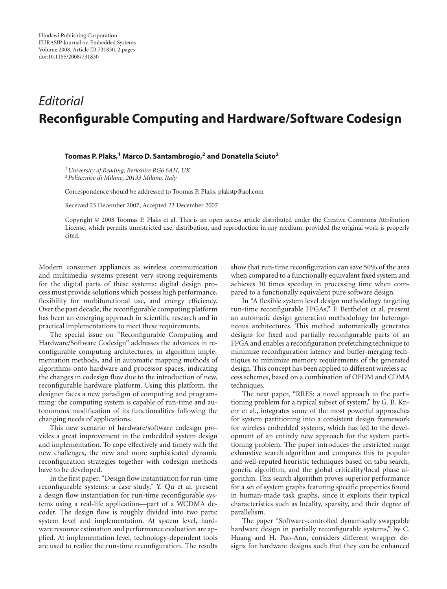## *Editorial* **Reconfigurable Computing and Hardware/Software Codesign**

## **Toomas P. Plaks,1 Marco D. Santambrogio,2 and Donatella Sciuto2**

*1University of Reading, Berkshire RG6 6AH, UK 2Politecnico di Milano, 20133 Milano, Italy*

Correspondence should be addressed to Toomas P. Plaks, plakstp@aol.com

Received 23 December 2007; Accepted 23 December 2007

Copyright © 2008 Toomas P. Plaks et al. This is an open access article distributed under the Creative Commons Attribution License, which permits unrestricted use, distribution, and reproduction in any medium, provided the original work is properly cited.

Modern consumer appliances as wireless communication and multimedia systems present very strong requirements for the digital parts of these systems: digital design process must provide solutions which possess high performance, flexibility for multifunctional use, and energy efficiency. Over the past decade, the reconfigurable computing platform has been an emerging approach in scientific research and in practical implementations to meet these requirements.

The special issue on "Reconfigurable Computing and Hardware/Software Codesign" addresses the advances in reconfigurable computing architectures, in algorithm implementation methods, and in automatic mapping methods of algorithms onto hardware and processor spaces, indicating the changes in codesign flow due to the introduction of new, reconfigurable hardware platform. Using this platform, the designer faces a new paradigm of computing and programming: the computing system is capable of run-time and autonomous modification of its functionalities following the changing needs of applications.

This new scenario of hardware/software codesign provides a great improvement in the embedded system design and implementation. To cope effectively and timely with the new challenges, the new and more sophisticated dynamic reconfiguration strategies together with codesign methods have to be developed.

In the first paper, "Design flow instantiation for run-time reconfigurable systems: a case study," Y. Qu et al. present a design flow instantiation for run-time reconfigurable systems using a real-life application—part of a WCDMA decoder. The design flow is roughly divided into two parts: system level and implementation. At system level, hardware resource estimation and performance evaluation are applied. At implementation level, technology-dependent tools are used to realize the run-time reconfiguration. The results

show that run-time reconfiguration can save 50% of the area when compared to a functionally equivalent fixed system and achieves 30 times speedup in processing time when compared to a functionally equivalent pure software design.

In "A flexible system level design methodology targeting run-time reconfigurable FPGAs," F. Berthelot et al. present an automatic design generation methodology for heterogeneous architectures. This method automatically generates designs for fixed and partially reconfigurable parts of an FPGA and enables a reconfiguration prefetching technique to minimize reconfiguration latency and buffer-merging techniques to minimize memory requirements of the generated design. This concept has been applied to different wireless access schemes, based on a combination of OFDM and CDMA techniques.

The next paper, "RRES: a novel approach to the partitioning problem for a typical subset of system," by G. B. Knerr et al., integrates some of the most powerful approaches for system partitioning into a consistent design framework for wireless embedded systems, which has led to the development of an entirely new approach for the system partitioning problem. The paper introduces the restricted range exhaustive search algorithm and compares this to popular and well-reputed heuristic techniques based on tabu search, genetic algorithm, and the global criticality/local phase algorithm. This search algorithm proves superior performance for a set of system graphs featuring specific properties found in human-made task graphs, since it exploits their typical characteristics such as locality, sparsity, and their degree of parallelism.

The paper "Software-controlled dynamically swappable hardware design in partially reconfigurable systems," by C. Huang and H. Pao-Ann, considers different wrapper designs for hardware designs such that they can be enhanced